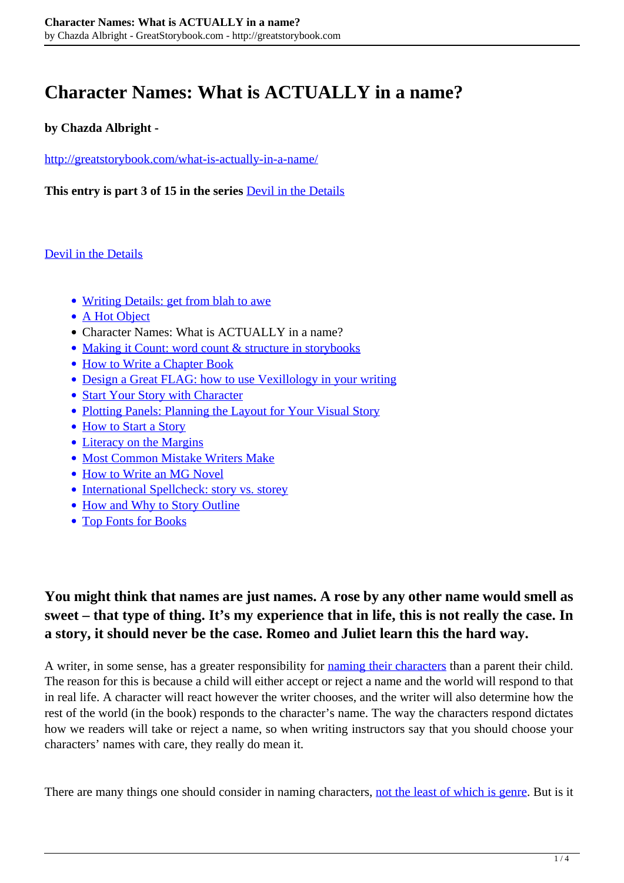# **Character Names: What is ACTUALLY in a name?**

#### **by Chazda Albright -**

<http://greatstorybook.com/what-is-actually-in-a-name/>

**This entry is part 3 of 15 in the series** [Devil in the Details](http://greatstorybook.com/series/devil-in-the-details/)

#### [Devil in the Details](http://greatstorybook.com/series/devil-in-the-details/)

- [Writing Details: get from blah to awe](http://greatstorybook.com/writing-details-from-blah-to-awe/)
- [A Hot Object](http://greatstorybook.com/how-character-meets-plot-part-i-a-hot-object/)
- Character Names: What is ACTUALLY in a name?
- [Making it Count: word count & structure in storybooks](http://greatstorybook.com/making-it-count-word-count-structure-in-storybooks/)
- [How to Write a Chapter Book](http://greatstorybook.com/how-to-write-a-chapter-book/)
- [Design a Great FLAG: how to use Vexillology in your writing](http://greatstorybook.com/designing-a-great-flag-how-to-use-vexillology-in-your-writing/)
- [Start Your Story with Character](http://greatstorybook.com/how-to-write-a-story-part-1-why-start-with-the-character/)
- [Plotting Panels: Planning the Layout for Your Visual Story](http://greatstorybook.com/plotting-panels-pre-preparing-your-visual-story/)
- [How to Start a Story](http://greatstorybook.com/how-to-start-a-story/)
- [Literacy on the Margins](http://greatstorybook.com/literacy-on-the-margins/)
- [Most Common Mistake Writers Make](http://greatstorybook.com/common-mistake-writers-make/)
- [How to Write an MG Novel](http://greatstorybook.com/write-mg-novel/)
- [International Spellcheck: story vs. storey](http://greatstorybook.com/international-spellcheck-story-vs-storey/)
- [How and Why to Story Outline](http://greatstorybook.com/how-and-why-to-story-outline/)
- [Top Fonts for Books](http://greatstorybook.com/top-fonts-books/)

# **You might think that names are just names. A rose by any other name would smell as sweet – that type of thing. It's my experience that in life, this is not really the case. In a story, it should never be the case. Romeo and Juliet learn this the hard way.**

A writer, in some sense, has a greater responsibility for [naming their characters](http://greatstorybook.com/how-to-write-a-story-part-1-why-start-with-the-character/) than a parent their child. The reason for this is because a child will either accept or reject a name and the world will respond to that in real life. A character will react however the writer chooses, and the writer will also determine how the rest of the world (in the book) responds to the character's name. The way the characters respond dictates how we readers will take or reject a name, so when writing instructors say that you should choose your characters' names with care, they really do mean it.

There are many things one should consider in naming characters, [not the least of which is genre.](http://greatstorybook.com/10-must-haves-for-a-solid-illustrated-storybook/) But is it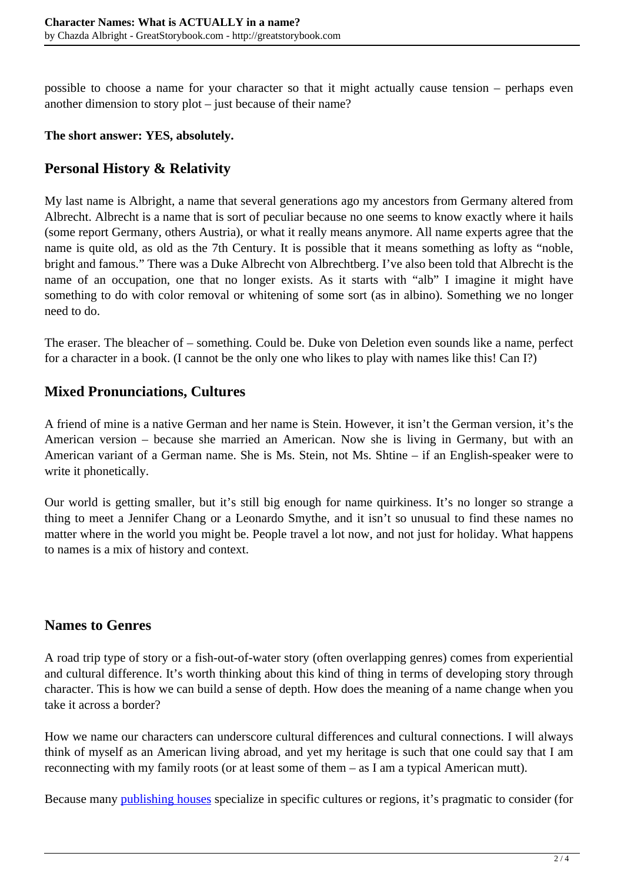possible to choose a name for your character so that it might actually cause tension – perhaps even another dimension to story plot – just because of their name?

#### **The short answer: YES, absolutely.**

## **Personal History & Relativity**

My last name is Albright, a name that several generations ago my ancestors from Germany altered from Albrecht. Albrecht is a name that is sort of peculiar because no one seems to know exactly where it hails (some report Germany, others Austria), or what it really means anymore. All name experts agree that the name is quite old, as old as the 7th Century. It is possible that it means something as lofty as "noble, bright and famous." There was a Duke Albrecht von Albrechtberg. I've also been told that Albrecht is the name of an occupation, one that no longer exists. As it starts with "alb" I imagine it might have something to do with color removal or whitening of some sort (as in albino). Something we no longer need to do.

The eraser. The bleacher of – something. Could be. Duke von Deletion even sounds like a name, perfect for a character in a book. (I cannot be the only one who likes to play with names like this! Can I?)

## **Mixed Pronunciations, Cultures**

A friend of mine is a native German and her name is Stein. However, it isn't the German version, it's the American version – because she married an American. Now she is living in Germany, but with an American variant of a German name. She is Ms. Stein, not Ms. Shtine – if an English-speaker were to write it phonetically.

Our world is getting smaller, but it's still big enough for name quirkiness. It's no longer so strange a thing to meet a Jennifer Chang or a Leonardo Smythe, and it isn't so unusual to find these names no matter where in the world you might be. People travel a lot now, and not just for holiday. What happens to names is a mix of history and context.

### **Names to Genres**

A road trip type of story or a fish-out-of-water story (often overlapping genres) comes from experiential and cultural difference. It's worth thinking about this kind of thing in terms of developing story through character. This is how we can build a sense of depth. How does the meaning of a name change when you take it across a border?

How we name our characters can underscore cultural differences and cultural connections. I will always think of myself as an American living abroad, and yet my heritage is such that one could say that I am reconnecting with my family roots (or at least some of them – as I am a typical American mutt).

Because many [publishing houses](http://greatstorybook.com/7-types-of-publisher-rejection-and-how-to-deal-with-them/) specialize in specific cultures or regions, it's pragmatic to consider (for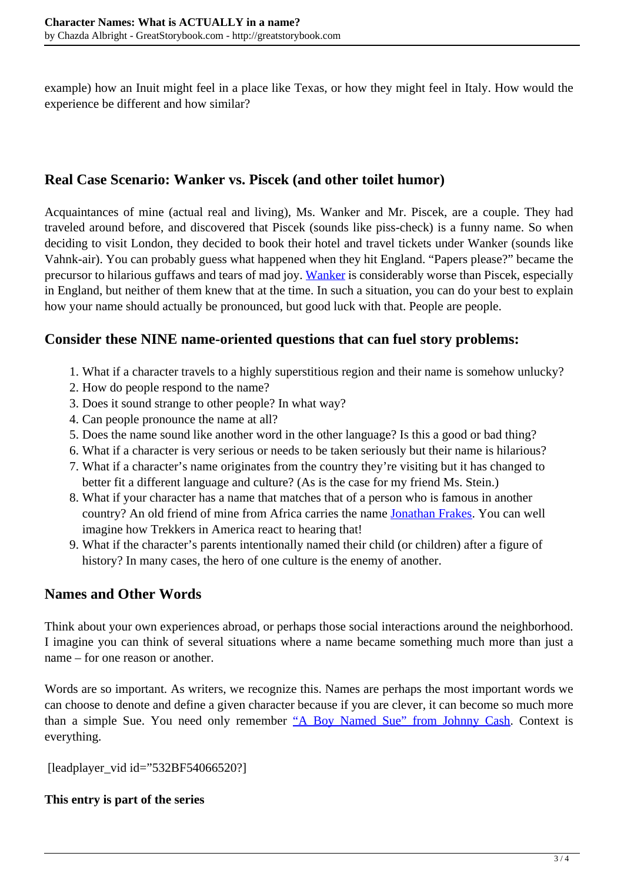example) how an Inuit might feel in a place like Texas, or how they might feel in Italy. How would the experience be different and how similar?

## **Real Case Scenario: Wanker vs. Piscek (and other toilet humor)**

Acquaintances of mine (actual real and living), Ms. Wanker and Mr. Piscek, are a couple. They had traveled around before, and discovered that Piscek (sounds like piss-check) is a funny name. So when deciding to visit London, they decided to book their hotel and travel tickets under Wanker (sounds like Vahnk-air). You can probably guess what happened when they hit England. "Papers please?" became the precursor to hilarious guffaws and tears of mad joy. [Wanker](http://www.urbandictionary.com/define.php?term=wanker) is considerably worse than Piscek, especially in England, but neither of them knew that at the time. In such a situation, you can do your best to explain how your name should actually be pronounced, but good luck with that. People are people.

## **Consider these NINE name-oriented questions that can fuel story problems:**

- 1. What if a character travels to a highly superstitious region and their name is somehow unlucky?
- 2. How do people respond to the name?
- 3. Does it sound strange to other people? In what way?
- 4. Can people pronounce the name at all?
- 5. Does the name sound like another word in the other language? Is this a good or bad thing?
- 6. What if a character is very serious or needs to be taken seriously but their name is hilarious?
- 7. What if a character's name originates from the country they're visiting but it has changed to better fit a different language and culture? (As is the case for my friend Ms. Stein.)
- 8. What if your character has a name that matches that of a person who is famous in another country? An old friend of mine from Africa carries the name [Jonathan Frakes](http://www.imdb.com/name/nm0000408/). You can well imagine how Trekkers in America react to hearing that!
- 9. What if the character's parents intentionally named their child (or children) after a figure of history? In many cases, the hero of one culture is the enemy of another.

## **Names and Other Words**

Think about your own experiences abroad, or perhaps those social interactions around the neighborhood. I imagine you can think of several situations where a name became something much more than just a name – for one reason or another.

Words are so important. As writers, we recognize this. Names are perhaps the most important words we can choose to denote and define a given character because if you are clever, it can become so much more than a simple Sue. You need only remember ["A Boy Named Sue" from Johnny Cash.](http://www.youtube.com/watch?v=-1BJfDvSITY&feature=kp) Context is everything.

```
 [leadplayer_vid id="532BF54066520?]
```
#### **This entry is part of the series**